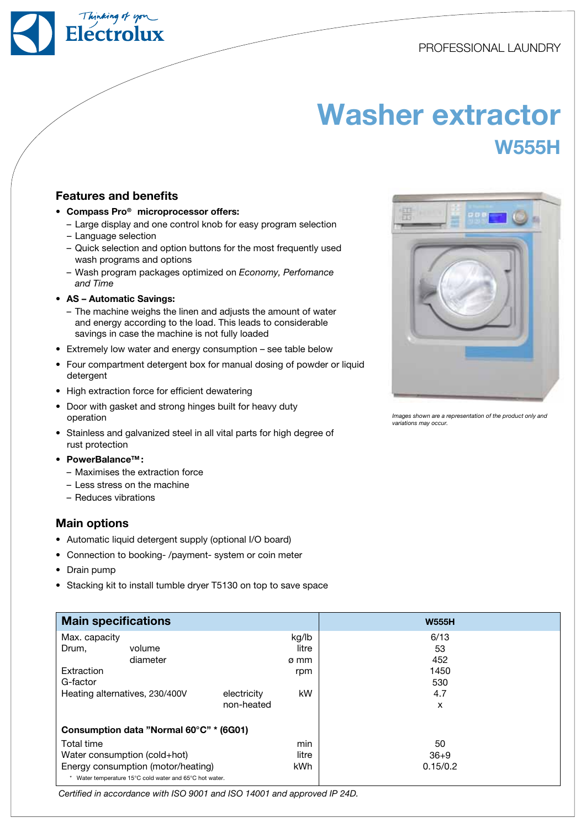PROFESSIONAL LAUNDRY

## Washer extractor W555H

## Features and benefits

- Compass Pro<sup>®</sup> microprocessor offers:
	- Large display and one control knob for easy program selection
	- Language selection
	- Quick selection and option buttons for the most frequently used wash programs and options
	- Wash program packages optimized on Economy, Perfomance and Time
- AS Automatic Savings:
	- The machine weighs the linen and adjusts the amount of water and energy according to the load. This leads to considerable savings in case the machine is not fully loaded
- Extremely low water and energy consumption see table below
- Four compartment detergent box for manual dosing of powder or liquid detergent
- High extraction force for efficient dewatering
- Door with gasket and strong hinges built for heavy duty operation
- Stainless and galvanized steel in all vital parts for high degree of rust protection
- • PowerBalanceTM :
	- Maximises the extraction force
	- Less stress on the machine
	- Reduces vibrations

## Main options

- • Automatic liquid detergent supply (optional I/O board)
- Connection to booking-/payment- system or coin meter
- • Drain pump
- Stacking kit to install tumble dryer T5130 on top to save space

| <b>Main specifications</b>                            |          |             |          | <b>W555H</b> |  |  |
|-------------------------------------------------------|----------|-------------|----------|--------------|--|--|
| Max. capacity                                         |          | kg/lb       | 6/13     |              |  |  |
| Drum,                                                 | volume   |             | litre    | 53           |  |  |
|                                                       | diameter |             | ø mm     | 452          |  |  |
| Extraction                                            |          | rpm         | 1450     |              |  |  |
| G-factor                                              |          |             | 530      |              |  |  |
| Heating alternatives, 230/400V                        |          | electricity | kW       | 4.7          |  |  |
|                                                       |          | non-heated  |          | X            |  |  |
| Consumption data "Normal 60°C" * (6G01)               |          |             |          |              |  |  |
| Total time                                            |          |             | min      | 50           |  |  |
| Water consumption (cold+hot)                          |          | litre       | $36 + 9$ |              |  |  |
| Energy consumption (motor/heating)                    |          | <b>kWh</b>  | 0.15/0.2 |              |  |  |
| Water temperature 15°C cold water and 65°C hot water. |          |             |          |              |  |  |

Certified in accordance with ISO 9001 and ISO 14001 and approved IP 24D.



Images shown are a representation of the product only and variations may occur.